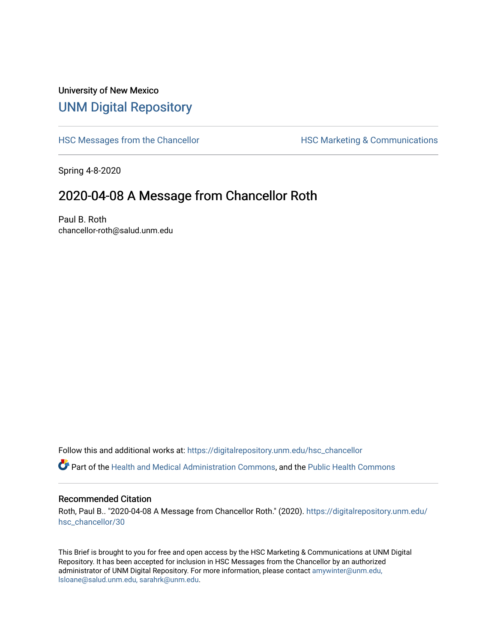## University of New Mexico [UNM Digital Repository](https://digitalrepository.unm.edu/)

[HSC Messages from the Chancellor](https://digitalrepository.unm.edu/hsc_chancellor) **HSC Marketing & Communications** 

Spring 4-8-2020

## 2020-04-08 A Message from Chancellor Roth

Paul B. Roth chancellor-roth@salud.unm.edu

Follow this and additional works at: [https://digitalrepository.unm.edu/hsc\\_chancellor](https://digitalrepository.unm.edu/hsc_chancellor?utm_source=digitalrepository.unm.edu%2Fhsc_chancellor%2F30&utm_medium=PDF&utm_campaign=PDFCoverPages) 

Part of the [Health and Medical Administration Commons](http://network.bepress.com/hgg/discipline/663?utm_source=digitalrepository.unm.edu%2Fhsc_chancellor%2F30&utm_medium=PDF&utm_campaign=PDFCoverPages), and the [Public Health Commons](http://network.bepress.com/hgg/discipline/738?utm_source=digitalrepository.unm.edu%2Fhsc_chancellor%2F30&utm_medium=PDF&utm_campaign=PDFCoverPages) 

## Recommended Citation

Roth, Paul B.. "2020-04-08 A Message from Chancellor Roth." (2020). [https://digitalrepository.unm.edu/](https://digitalrepository.unm.edu/hsc_chancellor/30?utm_source=digitalrepository.unm.edu%2Fhsc_chancellor%2F30&utm_medium=PDF&utm_campaign=PDFCoverPages) [hsc\\_chancellor/30](https://digitalrepository.unm.edu/hsc_chancellor/30?utm_source=digitalrepository.unm.edu%2Fhsc_chancellor%2F30&utm_medium=PDF&utm_campaign=PDFCoverPages) 

This Brief is brought to you for free and open access by the HSC Marketing & Communications at UNM Digital Repository. It has been accepted for inclusion in HSC Messages from the Chancellor by an authorized administrator of UNM Digital Repository. For more information, please contact [amywinter@unm.edu,](mailto:amywinter@unm.edu,%20lsloane@salud.unm.edu,%20sarahrk@unm.edu) [lsloane@salud.unm.edu, sarahrk@unm.edu.](mailto:amywinter@unm.edu,%20lsloane@salud.unm.edu,%20sarahrk@unm.edu)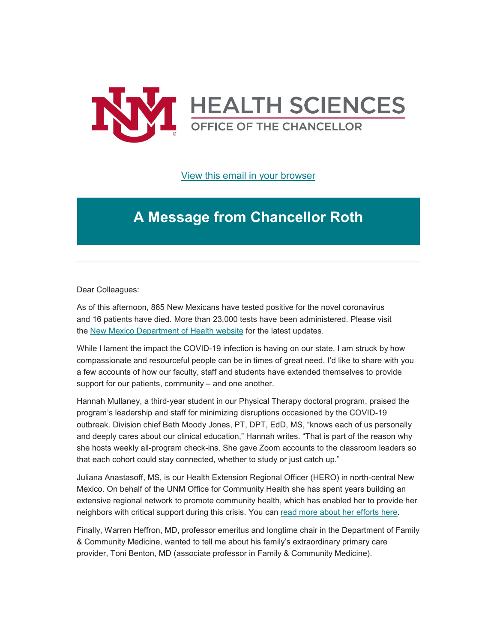

[View this email in your browser](https://mailchi.mp/7c3c7537b274/message-from-the-chancellor-coronavirus-4376584?e=b4bbfca2c0)

## **A Message from Chancellor Roth**

Dear Colleagues:

As of this afternoon, 865 New Mexicans have tested positive for the novel coronavirus and 16 patients have died. More than 23,000 tests have been administered. Please visit the [New Mexico Department of Health website](https://unm.us19.list-manage.com/track/click?u=59ce53c1a4dedb490bac78648&id=7641662fb5&e=b4bbfca2c0) for the latest updates.

While I lament the impact the COVID-19 infection is having on our state, I am struck by how compassionate and resourceful people can be in times of great need. I'd like to share with you a few accounts of how our faculty, staff and students have extended themselves to provide support for our patients, community – and one another.

Hannah Mullaney, a third-year student in our Physical Therapy doctoral program, praised the program's leadership and staff for minimizing disruptions occasioned by the COVID-19 outbreak. Division chief Beth Moody Jones, PT, DPT, EdD, MS, "knows each of us personally and deeply cares about our clinical education," Hannah writes. "That is part of the reason why she hosts weekly all-program check-ins. She gave Zoom accounts to the classroom leaders so that each cohort could stay connected, whether to study or just catch up."

Juliana Anastasoff, MS, is our Health Extension Regional Officer (HERO) in north-central New Mexico. On behalf of the UNM Office for Community Health she has spent years building an extensive regional network to promote community health, which has enabled her to provide her neighbors with critical support during this crisis. You can [read more about her efforts](https://unm.us19.list-manage.com/track/click?u=59ce53c1a4dedb490bac78648&id=89152ecc6a&e=b4bbfca2c0) here.

Finally, Warren Heffron, MD, professor emeritus and longtime chair in the Department of Family & Community Medicine, wanted to tell me about his family's extraordinary primary care provider, Toni Benton, MD (associate professor in Family & Community Medicine).